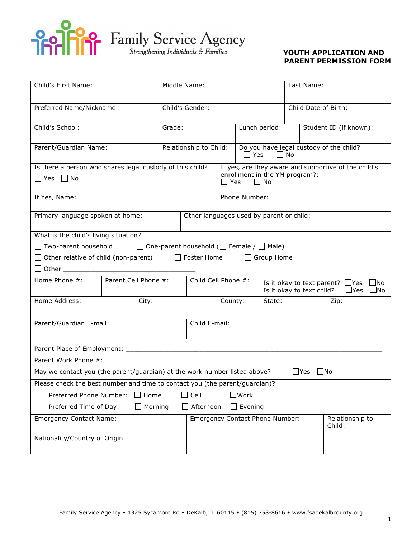

| Child's First Name:                                                                    |       |                                 | Middle Name:                             |                                                                                                                   |               | Last Name:           |                        |                                                                                                      |  |
|----------------------------------------------------------------------------------------|-------|---------------------------------|------------------------------------------|-------------------------------------------------------------------------------------------------------------------|---------------|----------------------|------------------------|------------------------------------------------------------------------------------------------------|--|
| Preferred Name/Nickname:                                                               |       |                                 | Child's Gender:                          |                                                                                                                   |               | Child Date of Birth: |                        |                                                                                                      |  |
| Child's School:                                                                        |       | Grade:                          |                                          |                                                                                                                   |               | Lunch period:        | Student ID (if known): |                                                                                                      |  |
| Parent/Guardian Name:                                                                  |       |                                 |                                          | Relationship to Child:<br>Do you have legal custody of the child?<br>$\Box$ Yes $\Box$ No                         |               |                      |                        |                                                                                                      |  |
| Is there a person who shares legal custody of this child?<br>$\Box$ Yes $\Box$ No      |       |                                 |                                          | If yes, are they aware and supportive of the child's<br>enrollment in the YM program?:<br>$\Box$ No<br>$\Box$ Yes |               |                      |                        |                                                                                                      |  |
| If Yes, Name:                                                                          |       |                                 |                                          |                                                                                                                   | Phone Number: |                      |                        |                                                                                                      |  |
| Primary language spoken at home:                                                       |       |                                 | Other languages used by parent or child: |                                                                                                                   |               |                      |                        |                                                                                                      |  |
| What is the child's living situation?                                                  |       |                                 |                                          |                                                                                                                   |               |                      |                        |                                                                                                      |  |
| $\Box$ Two-parent household $\Box$ One-parent household ( $\Box$ Female / $\Box$ Male) |       |                                 |                                          |                                                                                                                   |               |                      |                        |                                                                                                      |  |
| $\Box$ Other relative of child (non-parent) $\Box$ Foster Home                         |       |                                 |                                          |                                                                                                                   |               | $\Box$ Group Home    |                        |                                                                                                      |  |
|                                                                                        |       |                                 |                                          |                                                                                                                   |               |                      |                        |                                                                                                      |  |
| Home Phone $\#$ : $\qquad$ Parent Cell Phone $\#$ :                                    |       | Child Cell Phone #:             |                                          |                                                                                                                   |               |                      |                        | Is it okay to text parent? $\Box$ Yes<br>$\Box$ No<br>Is it okay to text child? $\Box$ Yes $\Box$ No |  |
| Home Address:                                                                          | City: |                                 |                                          | State:<br>County:                                                                                                 |               |                      | Zip:                   |                                                                                                      |  |
| Parent/Guardian E-mail:                                                                |       |                                 | Child E-mail:                            |                                                                                                                   |               |                      |                        |                                                                                                      |  |
|                                                                                        |       |                                 |                                          |                                                                                                                   |               |                      |                        |                                                                                                      |  |
|                                                                                        |       |                                 |                                          |                                                                                                                   |               |                      |                        |                                                                                                      |  |
| May we contact you (the parent/guardian) at the work number listed above?              |       |                                 |                                          |                                                                                                                   |               |                      | $\Box$ Yes             | $\Box$ No                                                                                            |  |
| Please check the best number and time to contact you (the parent/guardian)?            |       |                                 |                                          |                                                                                                                   |               |                      |                        |                                                                                                      |  |
| $\Box$ Cell<br>$\square$ Work<br>Preferred Phone Number:<br>$\Box$ Home                |       |                                 |                                          |                                                                                                                   |               |                      |                        |                                                                                                      |  |
| $\Box$ Morning<br>$\Box$ Afternoon<br>$\Box$ Evening<br>Preferred Time of Day:         |       |                                 |                                          |                                                                                                                   |               |                      |                        |                                                                                                      |  |
| <b>Emergency Contact Name:</b>                                                         |       | Emergency Contact Phone Number: |                                          | Relationship to<br>Child:                                                                                         |               |                      |                        |                                                                                                      |  |
| Nationality/Country of Origin                                                          |       |                                 |                                          |                                                                                                                   |               |                      |                        |                                                                                                      |  |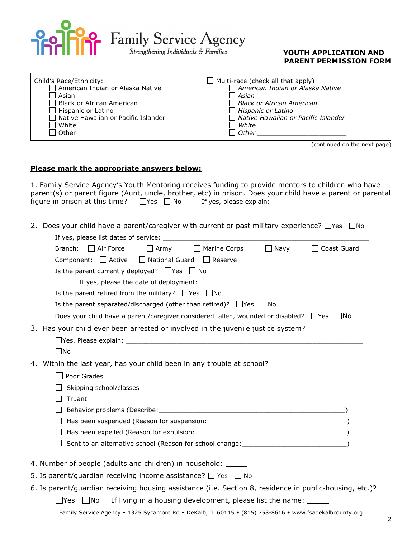

**Pop** Family Service Agency<br> *Strengthening Individuals* & Families **COUTH APPLICATION AND** 

## **PARENT PERMISSION FORM**

| Child's Race/Ethnicity:                    | $\Box$ Multi-race (check all that apply) |
|--------------------------------------------|------------------------------------------|
| American Indian or Alaska Native           | American Indian or Alaska Native         |
| Asian                                      | Asian                                    |
| Black or African American                  | Black or African American                |
| $\Box$ Hispanic or Latino                  | $\Box$ Hispanic or Latino                |
| $\Box$ Native Hawaiian or Pacific Islander | □ Native Hawaiian or Pacific Islander    |
| l White                                    | White                                    |
| Other                                      | l Other                                  |
|                                            |                                          |

(continued on the next page)

#### **Please mark the appropriate answers below:**

\_\_\_\_\_\_\_\_\_\_\_\_\_\_\_\_\_\_\_\_\_\_\_\_\_\_\_\_\_\_\_\_\_\_\_\_\_\_\_\_\_\_\_\_\_\_\_\_\_

1. Family Service Agency's Youth Mentoring receives funding to provide mentors to children who have parent(s) or parent figure (Aunt, uncle, brother, etc) in prison. Does your child have a parent or parental figure in prison at this time?  $\Box$  Yes  $\Box$  No If yes, please explain:

2. Does your child have a parent/caregiver with current or past military experience?  $\Box$ Yes  $\Box$ No

| If yes, please list dates of service: ___                                                                      |
|----------------------------------------------------------------------------------------------------------------|
| Branch:<br>$\Box$ Air Force<br>$\Box$ Marine Corps<br>$\Box$ Army<br>$\Box$ Navy<br>Coast Guard                |
| Component: $\Box$ Active<br>$\Box$ National Guard $\Box$ Reserve                                               |
| Is the parent currently deployed? $\Box$ Yes $\Box$ No                                                         |
| If yes, please the date of deployment:                                                                         |
| Is the parent retired from the military? $\Box$ Yes $\Box$ No                                                  |
| Is the parent separated/discharged (other than retired)? $\Box$ Yes $\Box$ No                                  |
| Does your child have a parent/caregiver considered fallen, wounded or disabled? $\Box$ Yes<br>l INo            |
| 3. Has your child ever been arrested or involved in the juvenile justice system?                               |
| $\Box$ Yes. Please explain: $\Box$                                                                             |
| $\square$ No                                                                                                   |
| 4. Within the last year, has your child been in any trouble at school?                                         |
| Poor Grades                                                                                                    |
| Skipping school/classes                                                                                        |
| Truant                                                                                                         |
|                                                                                                                |
| Has been suspended (Reason for suspension: Change and Change and Change and Change and Change and Change and C |
|                                                                                                                |
|                                                                                                                |
| 4. Number of people (adults and children) in household: ______                                                 |
|                                                                                                                |
| 5. Is parent/guardian receiving income assistance? $\Box$ Yes $\Box$ No                                        |
| 6. Is parent/guardian receiving housing assistance (i.e. Section 8, residence in public-housing, etc.)?        |
| $\Box$ No<br>If living in a housing development, please list the name:<br>lYes                                 |
| Family Service Agency • 1325 Sycamore Rd • DeKalb, IL 60115 • (815) 758-8616 • www.fsadekalbcounty.org         |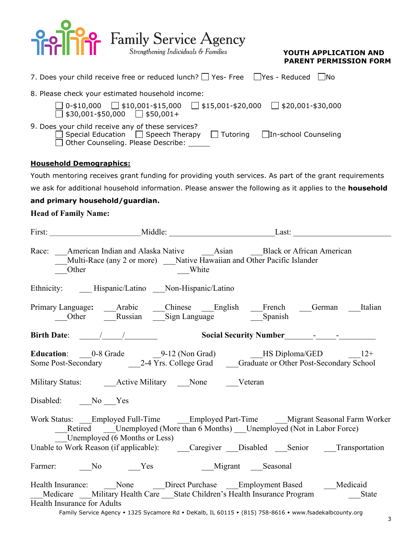

| 7. Does your child receive free or reduced lunch? $\Box$ Yes- Free $\Box$ Yes - Reduced $\Box$ No                                                                                                |  |  |  |  |
|--------------------------------------------------------------------------------------------------------------------------------------------------------------------------------------------------|--|--|--|--|
| 8. Please check your estimated household income:                                                                                                                                                 |  |  |  |  |
| $\Box$ 0-\$10,000 $\Box$ \$10,001-\$15,000 $\Box$ \$15,001-\$20,000 $\Box$ \$20,001-\$30,000<br>$\Box$ \$30,001-\$50,000 $\Box$ \$50,001+                                                        |  |  |  |  |
| 9. Does your child receive any of these services?<br>$\Box$ Special Education $\Box$ Speech Therapy<br>$\Box$ Tutoring $\Box$ In-school Counseling<br>□ Other Counseling. Please Describe: _____ |  |  |  |  |
| <b>Household Demographics:</b>                                                                                                                                                                   |  |  |  |  |

Youth mentoring receives grant funding for providing youth services. As part of the grant requirements

we ask for additional household information. Please answer the following as it applies to the **household** 

### **and primary household/guardian.**

### **Head of Family Name:**

| Multi-Race (any 2 or more) ___ Native Hawaiian and Other Pacific Islander<br>Other                                                                                                                                                                                                                                  | White |  |  |
|---------------------------------------------------------------------------------------------------------------------------------------------------------------------------------------------------------------------------------------------------------------------------------------------------------------------|-------|--|--|
| Ethnicity: _____Hispanic/Latino ____Non-Hispanic/Latino                                                                                                                                                                                                                                                             |       |  |  |
| Primary Language: ____Arabic _____Chinese ____English ____French ____German ____Italian<br>Other Russian Sign Language Spanish                                                                                                                                                                                      |       |  |  |
|                                                                                                                                                                                                                                                                                                                     |       |  |  |
| Education: 0-8 Grade 9-12 (Non Grad) HS Diploma/GED 12+<br>Some Post-Secondary 2-4 Yrs. College Grad Graduate or Other Post-Secondary School                                                                                                                                                                        |       |  |  |
| Military Status: Active Military None Veteran                                                                                                                                                                                                                                                                       |       |  |  |
| Disabled: No Yes                                                                                                                                                                                                                                                                                                    |       |  |  |
| Work Status: ___Employed Full-Time ______Employed Part-Time _____Migrant Seasonal Farm Worker<br>Retired ____Unemployed (More than 6 Months) ___Unemployed (Not in Labor Force)<br>Unemployed (6 Months or Less)                                                                                                    |       |  |  |
| Unable to Work Reason (if applicable): Caregiver Disabled Senior Transportation                                                                                                                                                                                                                                     |       |  |  |
| Farmer: No Ness Migrant Seasonal                                                                                                                                                                                                                                                                                    |       |  |  |
| Health Insurance: ______None _______Direct Purchase _____Employment Based _______Medicaid<br>Medicare Military Health Care State Children's Health Insurance Program State<br>Health Insurance for Adults<br>Family Service Agency • 1325 Sycamore Rd • DeKalb, IL 60115 • (815) 758-8616 • www.fsadekalbcounty.org |       |  |  |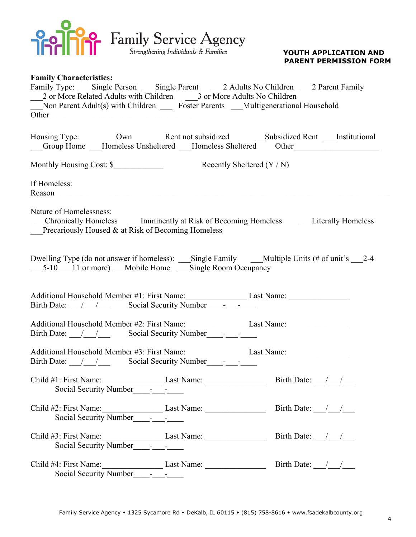

| <b>Family Characteristics:</b>                                                          |                                                                                                                                                                                            |
|-----------------------------------------------------------------------------------------|--------------------------------------------------------------------------------------------------------------------------------------------------------------------------------------------|
|                                                                                         | Family Type: Single Person Single Parent 2 Adults No Children 2 Parent Family                                                                                                              |
| 2 or More Related Adults with Children 3 or More Adults No Children                     |                                                                                                                                                                                            |
| Non Parent Adult(s) with Children ______ Foster Parents ____Multigenerational Household |                                                                                                                                                                                            |
| Other                                                                                   |                                                                                                                                                                                            |
|                                                                                         | Housing Type: ________Own _______Rent not subsidized _______________Subsidized Rent _____Institutional<br>__Group Home __Homeless Unsheltered __Homeless Sheltered Other _________________ |
| Monthly Housing Cost: \$ Recently Sheltered (Y / N)                                     |                                                                                                                                                                                            |
| If Homeless:                                                                            |                                                                                                                                                                                            |
| Nature of Homelessness:<br>Precariously Housed & at Risk of Becoming Homeless           | Chronically Homeless Imminently at Risk of Becoming Homeless Literally Homeless                                                                                                            |
| ___5-10 ___11 or more) ___Mobile Home ____Single Room Occupancy                         | Dwelling Type (do not answer if homeless): ___Single Family ____Multiple Units (# of unit's ___2-4                                                                                         |
|                                                                                         | Additional Household Member #1: First Name: Last Name: Last Name:                                                                                                                          |
| Birth Date: 1 1 Social Security Number 1-1                                              | Additional Household Member #2: First Name: Last Name: __________________________                                                                                                          |
| Birth Date: 1 1 Social Security Number -                                                | Additional Household Member #3: First Name: Last Name: Last Name:                                                                                                                          |
|                                                                                         |                                                                                                                                                                                            |
|                                                                                         |                                                                                                                                                                                            |
|                                                                                         |                                                                                                                                                                                            |
|                                                                                         | Child #4: First Name: Last Name: Last Name: Birth Date: ///<br>Social Security Number<br><u>-</u>                                                                                          |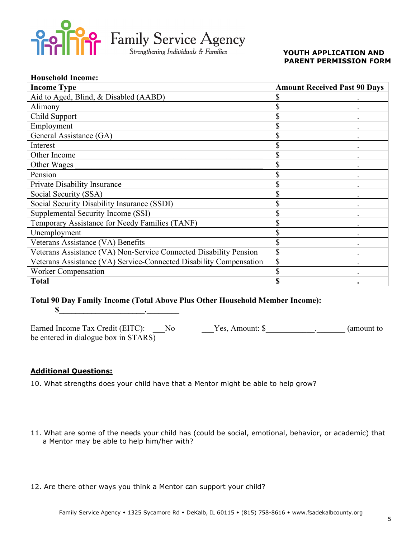

### **YOUTH APPLICATION AND PARENT PERMISSION FORM**

| <b>Household Income:</b>                                           |                                     |
|--------------------------------------------------------------------|-------------------------------------|
| <b>Income Type</b>                                                 | <b>Amount Received Past 90 Days</b> |
| Aid to Aged, Blind, & Disabled (AABD)                              | \$                                  |
| Alimony                                                            | \$                                  |
| Child Support                                                      | \$                                  |
| Employment                                                         | \$                                  |
| General Assistance (GA)                                            | \$                                  |
| Interest                                                           | \$                                  |
| Other Income                                                       | $\mathbb{S}$                        |
| Other Wages                                                        | \$                                  |
| Pension                                                            | \$                                  |
| Private Disability Insurance                                       | \$                                  |
| Social Security (SSA)                                              | \$                                  |
| Social Security Disability Insurance (SSDI)                        | \$                                  |
| Supplemental Security Income (SSI)                                 | \$                                  |
| Temporary Assistance for Needy Families (TANF)                     | \$                                  |
| Unemployment                                                       | \$                                  |
| Veterans Assistance (VA) Benefits                                  | \$                                  |
| Veterans Assistance (VA) Non-Service Connected Disability Pension  | \$                                  |
| Veterans Assistance (VA) Service-Connected Disability Compensation | \$                                  |
| <b>Worker Compensation</b>                                         | \$                                  |
| <b>Total</b>                                                       | $\bullet$                           |

### **Total 90 Day Family Income (Total Above Plus Other Household Member Income):**  $\textbf{\$}$

Earned Income Tax Credit (EITC): No Yes, Amount: \$\_\_\_\_\_\_\_\_\_\_\_\_\_\_\_\_\_\_ (amount to be entered in dialogue box in STARS)

### **Additional Questions:**

10. What strengths does your child have that a Mentor might be able to help grow?

- 11. What are some of the needs your child has (could be social, emotional, behavior, or academic) that a Mentor may be able to help him/her with?
- 12. Are there other ways you think a Mentor can support your child?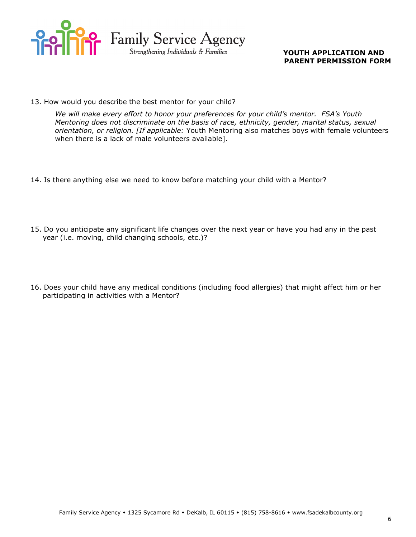

13. How would you describe the best mentor for your child?

*We will make every effort to honor your preferences for your child's mentor. FSA's Youth Mentoring does not discriminate on the basis of race, ethnicity, gender, marital status, sexual orientation, or religion. [If applicable:* Youth Mentoring also matches boys with female volunteers when there is a lack of male volunteers available].

- 14. Is there anything else we need to know before matching your child with a Mentor?
- 15. Do you anticipate any significant life changes over the next year or have you had any in the past year (i.e. moving, child changing schools, etc.)?
- 16. Does your child have any medical conditions (including food allergies) that might affect him or her participating in activities with a Mentor?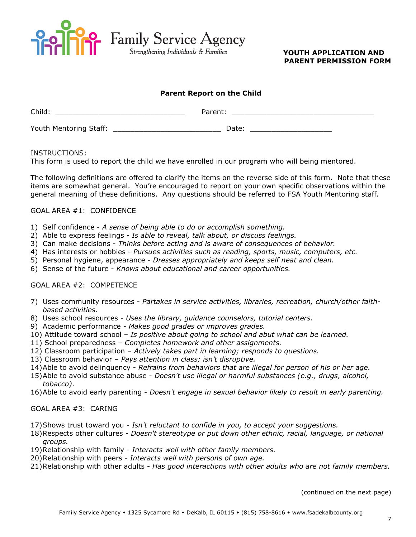

#### **Parent Report on the Child**

| Child:                 | Parent: |  |
|------------------------|---------|--|
| Youth Mentoring Staff: | Date:   |  |

#### INSTRUCTIONS:

This form is used to report the child we have enrolled in our program who will being mentored.

The following definitions are offered to clarify the items on the reverse side of this form. Note that these items are somewhat general. You're encouraged to report on your own specific observations within the general meaning of these definitions. Any questions should be referred to FSA Youth Mentoring staff.

#### GOAL AREA #1: CONFIDENCE

- 1) Self confidence *A sense of being able to do or accomplish something.*
- 2) Able to express feelings *Is able to reveal, talk about, or discuss feelings.*
- 3) Can make decisions *Thinks before acting and is aware of consequences of behavior.*
- 4) Has interests or hobbies *Pursues activities such as reading, sports, music, computers, etc.*
- 5) Personal hygiene, appearance *Dresses appropriately and keeps self neat and clean.*
- 6) Sense of the future *Knows about educational and career opportunities.*

#### GOAL AREA #2: COMPETENCE

- 7) Uses community resources *Partakes in service activities, libraries, recreation, church/other faithbased activities.*
- 8) Uses school resources *Uses the library, guidance counselors, tutorial centers.*
- 9) Academic performance *Makes good grades or improves grades.*
- 10) Attitude toward school *Is positive about going to school and abut what can be learned.*
- 11) School preparedness *Completes homework and other assignments.*
- 12) Classroom participation *Actively takes part in learning; responds to questions.*
- 13) Classroom behavior *Pays attention in class; isn't disruptive.*
- 14)Able to avoid delinquency *Refrains from behaviors that are illegal for person of his or her age.*
- 15)Able to avoid substance abuse *Doesn't use illegal or harmful substances (e.g., drugs, alcohol, tobacco)*.
- 16)Able to avoid early parenting *Doesn't engage in sexual behavior likely to result in early parenting.*

#### GOAL AREA #3: CARING

- 17)Shows trust toward you *Isn't reluctant to confide in you, to accept your suggestions.*
- 18)Respects other cultures *Doesn't stereotype or put down other ethnic, racial, language, or national groups.*
- 19)Relationship with family *Interacts well with other family members.*
- 20)Relationship with peers *Interacts well with persons of own age.*
- 21)Relationship with other adults *Has good interactions with other adults who are not family members.*

(continued on the next page)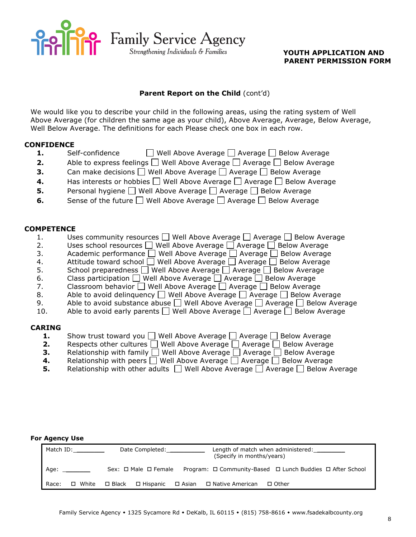

#### **Parent Report on the Child** (cont'd)

We would like you to describe your child in the following areas, using the rating system of Well Above Average (for children the same age as your child), Above Average, Average, Below Average, Well Below Average. The definitions for each Please check one box in each row.

#### **CONFIDENCE**

- **1.** Self-confidence **Nell Above Average Average Average** Below Average
- **2.** Able to express feelings  $\Box$  Well Above Average  $\Box$  Average  $\Box$  Below Average
- **3.** Can make decisions  $\Box$  Well Above Average  $\Box$  Average  $\Box$  Below Average
- **4.** Has interests or hobbies  $\Box$  Well Above Average  $\Box$  Average  $\Box$  Below Average
- **5.** Personal hygiene Well Above Average Average Below Average
- **6.** Sense of the future  $\Box$  Well Above Average  $\Box$  Average  $\Box$  Below Average

#### **COMPETENCE**

- 1. Uses community resources  $\Box$  Well Above Average  $\Box$  Average  $\Box$  Below Average
- 2. Uses school resources  $\Box$  Well Above Average  $\Box$  Average  $\Box$  Below Average
- 3. Academic performance Well Above Average Average Below Average
- 4. Attitude toward school  $\bigsqcup$  Well Above Average  $\bigsqcup$  Average  $\bigsqcup$  Below Average
- 5. School preparedness  $\Box$  Well Above Average  $\Box$  Average  $\Box$  Below Average
- 6. Class participation  $\Box$  Well Above Average  $\Box$  Average  $\Box$  Below Average
- 7. Classroom behavior  $\Box$  Well Above Average  $\Box$  Average  $\Box$  Below Average
- 8. Able to avoid delinguency  $\Box$  Well Above Average  $\Box$  Average  $\Box$  Below Average
- 9. Able to avoid substance abuse  $\Box$  Well Above Average  $\Box$  Average  $\Box$  Below Average
- 10. Able to avoid early parents  $\Box$  Well Above Average  $\Box$  Average  $\Box$  Below Average

#### **CARING**

- **1.** Show trust toward you  $\Box$  Well Above Average  $\Box$  Average  $\Box$  Below Average
- **2.** Respects other cultures  $\Box$  Well Above Average  $\Box$  Average  $\Box$  Below Average
- **3.** Relationship with family  $\Box$  Well Above Average  $\Box$  Average  $\Box$  Below Average
- **4.** Relationship with peers  $\Box$  Well Above Average  $\Box$  Average  $\Box$  Below Average
- **5.** Relationship with other adults  $\Box$  Well Above Average  $\Box$  Average  $\Box$  Below Average

#### **For Agency Use**

|       | Match ID: |                 | Date Completed: National Section of the Section of the Section of the Section of the Section of the Section of the Section of the Section of the Section of the Section of the Section of the Section of the Section of the Se | Length of match when administered:<br>(Specify in months/years) |                                                                          |  |
|-------|-----------|-----------------|--------------------------------------------------------------------------------------------------------------------------------------------------------------------------------------------------------------------------------|-----------------------------------------------------------------|--------------------------------------------------------------------------|--|
| Age:  |           |                 | $Sex: \Box Male \Box Female$                                                                                                                                                                                                   |                                                                 | Program: $\Box$ Community-Based $\Box$ Lunch Buddies $\Box$ After School |  |
| Race: | □ White   | $\square$ Black | □ Hispanic                                                                                                                                                                                                                     |                                                                 | □ Asian □ Native American<br>□ Other                                     |  |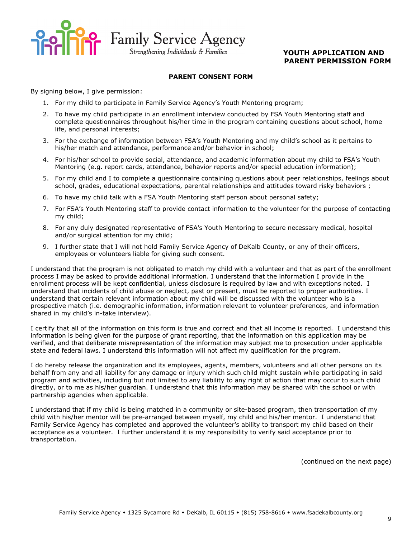

**Pop** Family Service Agency<br> *Strengthening Individuals & Families* YOUTH APPLICATION AND

Strengthening Individuals & Families

## **PARENT PERMISSION FORM**

#### **PARENT CONSENT FORM**

By signing below, I give permission:

- 1. For my child to participate in Family Service Agency's Youth Mentoring program;
- 2. To have my child participate in an enrollment interview conducted by FSA Youth Mentoring staff and complete questionnaires throughout his/her time in the program containing questions about school, home life, and personal interests;
- 3. For the exchange of information between FSA's Youth Mentoring and my child's school as it pertains to his/her match and attendance, performance and/or behavior in school;
- 4. For his/her school to provide social, attendance, and academic information about my child to FSA's Youth Mentoring (e.g. report cards, attendance, behavior reports and/or special education information);
- 5. For my child and I to complete a questionnaire containing questions about peer relationships, feelings about school, grades, educational expectations, parental relationships and attitudes toward risky behaviors ;
- 6. To have my child talk with a FSA Youth Mentoring staff person about personal safety;
- 7. For FSA's Youth Mentoring staff to provide contact information to the volunteer for the purpose of contacting my child;
- 8. For any duly designated representative of FSA's Youth Mentoring to secure necessary medical, hospital and/or surgical attention for my child;
- 9. I further state that I will not hold Family Service Agency of DeKalb County, or any of their officers, employees or volunteers liable for giving such consent.

I understand that the program is not obligated to match my child with a volunteer and that as part of the enrollment process I may be asked to provide additional information. I understand that the information I provide in the enrollment process will be kept confidential, unless disclosure is required by law and with exceptions noted. I understand that incidents of child abuse or neglect, past or present, must be reported to proper authorities. I understand that certain relevant information about my child will be discussed with the volunteer who is a prospective match (i.e. demographic information, information relevant to volunteer preferences, and information shared in my child's in-take interview).

I certify that all of the information on this form is true and correct and that all income is reported. I understand this information is being given for the purpose of grant reporting, that the information on this application may be verified, and that deliberate misrepresentation of the information may subject me to prosecution under applicable state and federal laws. I understand this information will not affect my qualification for the program.

I do hereby release the organization and its employees, agents, members, volunteers and all other persons on its behalf from any and all liability for any damage or injury which such child might sustain while participating in said program and activities, including but not limited to any liability to any right of action that may occur to such child directly, or to me as his/her guardian. I understand that this information may be shared with the school or with partnership agencies when applicable.

I understand that if my child is being matched in a community or site-based program, then transportation of my child with his/her mentor will be pre-arranged between myself, my child and his/her mentor. I understand that Family Service Agency has completed and approved the volunteer's ability to transport my child based on their acceptance as a volunteer. I further understand it is my responsibility to verify said acceptance prior to transportation.

(continued on the next page)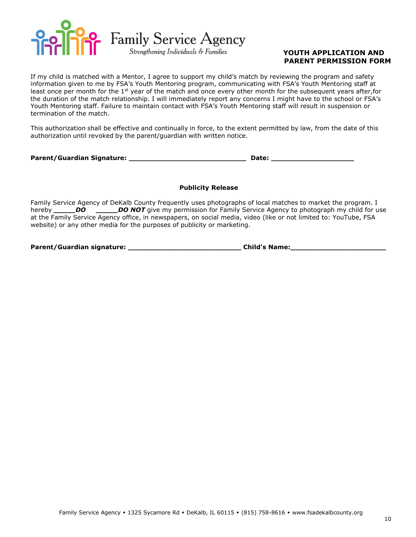

If my child is matched with a Mentor, I agree to support my child's match by reviewing the program and safety information given to me by FSA's Youth Mentoring program, communicating with FSA's Youth Mentoring staff at least once per month for the  $1<sup>st</sup>$  year of the match and once every other month for the subsequent years after, for the duration of the match relationship. I will immediately report any concerns I might have to the school or FSA's Youth Mentoring staff. Failure to maintain contact with FSA's Youth Mentoring staff will result in suspension or termination of the match.

This authorization shall be effective and continually in force, to the extent permitted by law, from the date of this authorization until revoked by the parent/guardian with written notice.

Parent/Guardian Signature: **with a set of the set of the set of the set of the set of the set of the set of the s** 

#### **Publicity Release**

Family Service Agency of DeKalb County frequently uses photographs of local matches to market the program. I hereby **DO** *\_\_\_\_\_DO NOT* give my permission for Family Service Agency to photograph my child for use at the Family Service Agency office, in newspapers, on social media, video (like or not limited to: YouTube, FSA website) or any other media for the purposes of publicity or marketing.

**Parent/Guardian signature: \_\_\_\_\_\_\_\_\_\_\_\_\_\_\_\_\_\_\_\_\_\_\_\_\_\_ Child's Name:\_\_\_\_\_\_\_\_\_\_\_\_\_\_\_\_\_\_\_\_\_\_**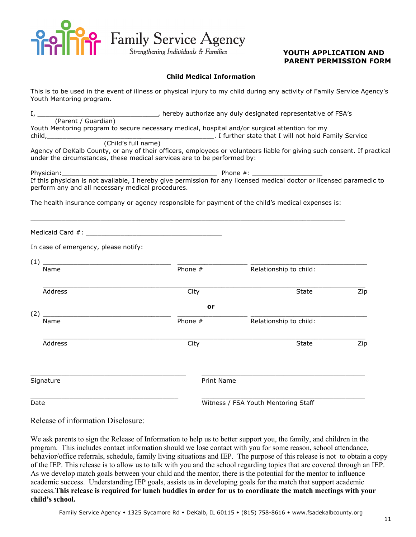

**POO** Family Service Agency<br> *Strengthening Individuals & Families* YOUTH APPLICATION AND

Strengthening Individuals & Families

## **PARENT PERMISSION FORM**

#### **Child Medical Information**

This is to be used in the event of illness or physical injury to my child during any activity of Family Service Agency's Youth Mentoring program.

|        | hereby authorize any duly designated representative of FSA's                                   |
|--------|------------------------------------------------------------------------------------------------|
|        | (Parent / Guardian)                                                                            |
|        | Youth Mentoring program to secure necessary medical, hospital and/or surgical attention for my |
| child, | . I further state that I will not hold Family Service                                          |
|        | (Child's full name)                                                                            |

Agency of DeKalb County, or any of their officers, employees or volunteers liable for giving such consent. If practical under the circumstances, these medical services are to be performed by:

Physician:\_\_\_\_\_\_\_\_\_\_\_\_\_\_\_\_\_\_\_\_\_\_\_\_\_\_\_\_\_\_\_\_\_\_\_\_\_\_\_\_ Phone #: \_\_\_\_\_\_\_\_\_\_\_\_\_\_\_\_\_\_ If this physician is not available, I hereby give permission for any licensed medical doctor or licensed paramedic to perform any and all necessary medical procedures.

The health insurance company or agency responsible for payment of the child's medical expenses is:

\_\_\_\_\_\_\_\_\_\_\_\_\_\_\_\_\_\_\_\_\_\_\_\_\_\_\_\_\_\_\_\_\_\_\_\_\_\_\_\_\_\_\_\_\_\_\_\_\_\_\_\_\_\_\_\_\_\_\_\_\_\_\_\_\_\_\_\_\_\_\_\_\_\_\_\_\_\_\_\_\_

Medicaid Card #: \_\_\_\_\_\_\_\_\_\_\_\_\_\_\_\_\_\_\_\_\_\_\_\_\_\_\_\_\_\_\_\_\_\_\_

In case of emergency, please notify:

| (1)       |                   |                                     |     |
|-----------|-------------------|-------------------------------------|-----|
| Name      | Phone #           | Relationship to child:              |     |
| Address   | City              | <b>State</b>                        | Zip |
| (2)       | or                |                                     |     |
| Name      | Phone #           | Relationship to child:              |     |
| Address   | City              | <b>State</b>                        | Zip |
| Signature | <b>Print Name</b> |                                     |     |
| Date      |                   | Witness / FSA Youth Mentoring Staff |     |

Release of information Disclosure:

We ask parents to sign the Release of Information to help us to better support you, the family, and children in the program. This includes contact information should we lose contact with you for some reason, school attendance, behavior/office referrals, schedule, family living situations and IEP. The purpose of this release is not to obtain a copy of the IEP. This release is to allow us to talk with you and the school regarding topics that are covered through an IEP. As we develop match goals between your child and the mentor, there is the potential for the mentor to influence academic success. Understanding IEP goals, assists us in developing goals for the match that support academic success.**This release is required for lunch buddies in order for us to coordinate the match meetings with your child's school.**